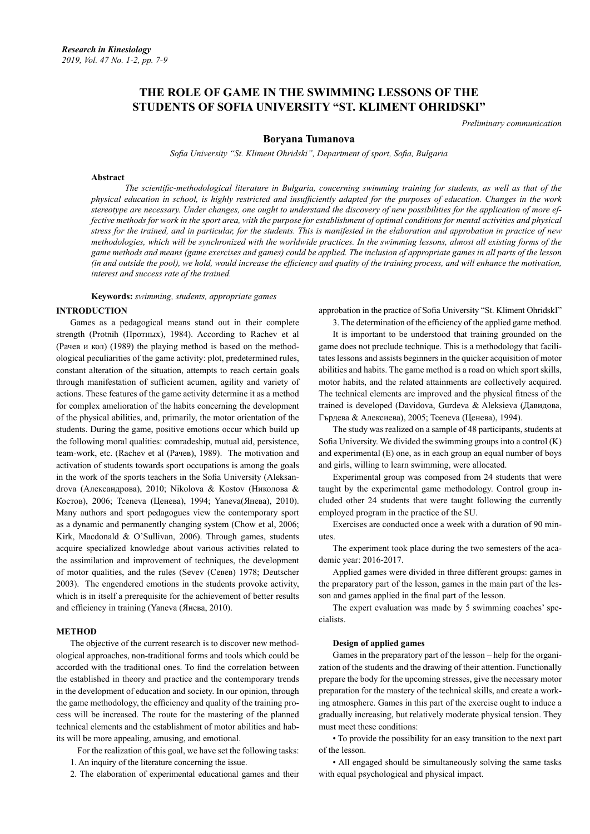# **THE ROLE OF GAME IN THE SWIMMING LESSONS OF THE STUDENTS OF SOFIA UNIVERSITY "ST. KLIMENT OHRIDSKI"**

*Preliminary communication*

# **Boryana Tumanova**

*Sofia University "St. Kliment Ohridski", Department of sport, Sofia, Bulgaria*

#### **Abstract**

*The scientific-methodological literature in Bulgaria, concerning swimming training for students, as well as that of the physical education in school, is highly restricted and insufficiently adapted for the purposes of education. Changes in the work stereotype are necessary. Under changes, one ought to understand the discovery of new possibilities for the application of more ef*fective methods for work in the sport area, with the purpose for establishment of optimal conditions for mental activities and physical *stress for the trained, and in particular, for the students. This is manifested in the elaboration and approbation in practice of new methodologies, which will be synchronized with the worldwide practices. In the swimming lessons, almost all existing forms of the game methods and means (game exercises and games) could be applied. The inclusion of appropriate games in all parts of the lesson (in and outside the pool), we hold, would increase the efficiency and quality of the training process, and will enhance the motivation, interest and success rate of the trained.*

**Keywords:** *swimming, students, appropriate games*

#### **INTRODUCTION**

Games as a pedagogical means stand out in their complete strength (Protnih (Протных), 1984). According to Rachev et al (Рачев и кол) (1989) the playing method is based on the methodological peculiarities of the game activity: plot, predetermined rules, constant alteration of the situation, attempts to reach certain goals through manifestation of sufficient acumen, agility and variety of actions. These features of the game activity determine it as a method for complex amelioration of the habits concerning the development of the physical abilities, and, primarily, the motor orientation of the students. During the game, positive emotions occur which build up the following moral qualities: comradeship, mutual aid, persistence, team-work, etc. (Rachev et al (Рачев), 1989). The motivation and activation of students towards sport occupations is among the goals in the work of the sports teachers in the Sofia University (Aleksandrova (Александрова), 2010; Nikolova & Kostov (Николова & Костов), 2006; Tceneva (Ценева), 1994; Yaneva(Янева), 2010). Many authors and sport pedagogues view the contemporary sport as a dynamic and permanently changing system (Chow et al, 2006; Kirk, Macdonald & O'Sullivan, 2006). Through games, students acquire specialized knowledge about various activities related to the assimilation and improvement of techniques, the development of motor qualities, and the rules (Sevev (Севев) 1978; Deutscher 2003). The engendered emotions in the students provoke activity, which is in itself a prerequisite for the achievement of better results and efficiency in training (Yaneva (Янева, 2010).

#### **METHOD**

The objective of the current research is to discover new methodological approaches, non-traditional forms and tools which could be accorded with the traditional ones. To find the correlation between the established in theory and practice and the contemporary trends in the development of education and society. In our opinion, through the game methodology, the efficiency and quality of the training process will be increased. The route for the mastering of the planned technical elements and the establishment of motor abilities and habits will be more appealing, amusing, and emotional.

 For the realization of this goal, we have set the following tasks: 1. An inquiry of the literature concerning the issue.

2. The elaboration of experimental educational games and their

approbation in the practice of Sofia University "St. Kliment OhridskI"

3. The determination of the efficiency of the applied game method. It is important to be understood that training grounded on the game does not preclude technique. This is a methodology that facilitates lessons and assists beginners in the quicker acquisition of motor abilities and habits. The game method is a road on which sport skills, motor habits, and the related attainments are collectively acquired. The technical elements are improved and the physical fitness of the trained is developed (Davidova, Gurdeva & Aleksieva (Давидова, Гърдева & Алексиева), 2005; Tceneva (Ценева), 1994).

The study was realized on a sample of 48 participants, students at Sofia University. We divided the swimming groups into a control (K) and experimental (E) one, as in each group an equal number of boys and girls, willing to learn swimming, were allocated.

Experimental group was composed from 24 students that were taught by the experimental game methodology. Control group included other 24 students that were taught following the currently employed program in the practice of the SU.

Exercises are conducted once a week with a duration of 90 minutes.

The experiment took place during the two semesters of the academic year: 2016-2017.

Applied games were divided in three different groups: games in the preparatory part of the lesson, games in the main part of the lesson and games applied in the final part of the lesson.

The expert evaluation was made by 5 swimming coaches' specialists.

#### **Design of applied games**

Games in the preparatory part of the lesson – help for the organization of the students and the drawing of their attention. Functionally prepare the body for the upcoming stresses, give the necessary motor preparation for the mastery of the technical skills, and create a working atmosphere. Games in this part of the exercise ought to induce a gradually increasing, but relatively moderate physical tension. They must meet these conditions:

• To provide the possibility for an easy transition to the next part of the lesson.

• All engaged should be simultaneously solving the same tasks with equal psychological and physical impact.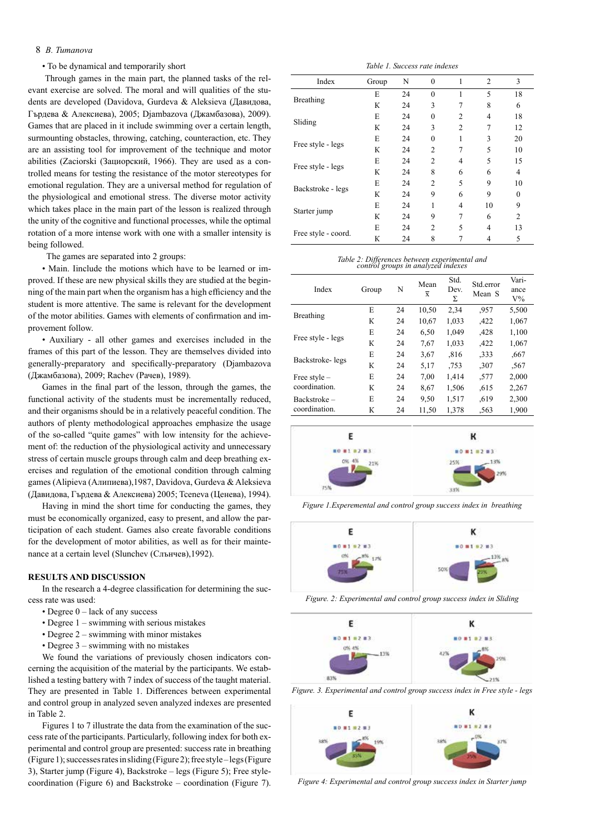# 8 *B. Tumanova*

• To be dynamical and temporarily short

 Through games in the main part, the planned tasks of the relevant exercise are solved. The moral and will qualities of the students are developed (Davidova, Gurdeva & Aleksieva (Давидова, Гърдева & Алексиева), 2005; Djambazova (Джамбазова), 2009). Games that are placed in it include swimming over a certain length, surmounting obstacles, throwing, catching, counteraction, etc. They are an assisting tool for improvement of the technique and motor abilities (Zaciorski (Зациорский, 1966). They are used as a controlled means for testing the resistance of the motor stereotypes for emotional regulation. They are a universal method for regulation of the physiological and emotional stress. The diverse motor activity which takes place in the main part of the lesson is realized through the unity of the cognitive and functional processes, while the optimal rotation of a more intense work with one with a smaller intensity is being followed.

The games are separated into 2 groups:

• Main. Iinclude the motions which have to be learned or improved. If these are new physical skills they are studied at the beginning of the main part when the organism has a high efficiency and the student is more attentive. The same is relevant for the development of the motor abilities. Games with elements of confirmation and improvement follow.

• Auxiliary - all other games and exercises included in the frames of this part of the lesson. They are themselves divided into generally-preparatory and specifically-preparatory (Djambazova (Джамбазова), 2009; Rachev (Рачев), 1989).

Games in the final part of the lesson, through the games, the functional activity of the students must be incrementally reduced, and their organisms should be in a relatively peaceful condition. The authors of plenty methodological approaches emphasize the usage of the so-called "quite games" with low intensity for the achievement of: the reduction of the physiological activity and unnecessary stress of certain muscle groups through calm and deep breathing exercises and regulation of the emotional condition through calming games (Alipieva (Алипиева),1987, Davidova, Gurdeva & Aleksieva (Давидова, Гърдева & Алексиева) 2005; Tceneva (Ценева), 1994).

Having in mind the short time for conducting the games, they must be economically organized, easy to present, and allow the participation of each student. Games also create favorable conditions for the development of motor abilities, as well as for their maintenance at a certain level (Slunchev (Слънчев),1992).

## **RESULTS AND DISCUSSION**

In the research a 4-degree classification for determining the success rate was used:

- Degree  $0$  lack of any success
- Degree 1 swimming with serious mistakes
- Degree 2 swimming with minor mistakes
- Degree 3 swimming with no mistakes

We found the variations of previously chosen indicators concerning the acquisition of the material by the participants. We established a testing battery with 7 index of success of the taught material. They are presented in Table 1. Differences between experimental and control group in analyzed seven analyzed indexes are presented in Table 2.

Figures 1 to 7 illustrate the data from the examination of the success rate of the participants. Particularly, following index for both experimental and control group are presented: success rate in breathing (Figure 1); successes rates in sliding (Figure 2); free style – legs (Figure 3), Starter jump (Figure 4), Backstroke – legs (Figure 5); Free stylecoordination (Figure 6) and Backstroke – coordination (Figure 7).

*Table 1. Success rate indexes*

| Index                                                                                      | Group | N  | $\theta$       | 1              | $\overline{c}$ | 3              |
|--------------------------------------------------------------------------------------------|-------|----|----------------|----------------|----------------|----------------|
| <b>Breathing</b><br>Sliding<br>Free style - legs<br>Free style - legs<br>Backstroke - legs | E     | 24 | $\theta$       | 1              | 5              | 18             |
|                                                                                            | К     | 24 | 3              | 7              | 8              | 6              |
|                                                                                            | E     | 24 | $\theta$       | $\overline{c}$ | 4              | 18             |
|                                                                                            | К     | 24 | 3              | $\overline{2}$ |                | 12             |
|                                                                                            | E     | 24 | $\theta$       |                | 3              | 20             |
|                                                                                            | К     | 24 | 2              | 7              | 5              | 10             |
|                                                                                            | E     | 24 | $\overline{c}$ | $\overline{4}$ | 5              | 15             |
|                                                                                            | К     | 24 | 8              | 6              | 6              | 4              |
|                                                                                            | E     | 24 | 2              | 5              | 9              | 10             |
|                                                                                            | К     | 24 | 9              | 6              | 9              | $\theta$       |
| Starter jump                                                                               | E     | 24 |                | $\overline{4}$ | 10             | 9              |
|                                                                                            | К     | 24 | 9              | 7              | 6              | $\overline{2}$ |
| Free style - coord.                                                                        | E     | 24 | $\mathfrak{D}$ | 5              | 4              | 13             |
|                                                                                            | К     | 24 | 8              |                |                | 5              |

# *Table 2: Differences between experimental and control groups in analyzed indexes*

| Index                         | Group | N  | Mean<br>$\overline{x}$ | Std.<br>Dev.<br>Σ | Std.error<br>Mean S | Vari-<br>ance<br>$V\%$ |
|-------------------------------|-------|----|------------------------|-------------------|---------------------|------------------------|
| Breathing                     | E     | 24 | 10,50                  | 2,34              | .957                | 5,500                  |
|                               | К     | 24 | 10,67                  | 1,033             | .422                | 1,067                  |
| Free style - legs             | E     | 24 | 6,50                   | 1,049             | .428                | 1,100                  |
|                               | К     | 24 | 7,67                   | 1,033             | .422                | 1,067                  |
| Backstroke-legs               | E     | 24 | 3.67                   | .816              | .333                | .667                   |
|                               | К     | 24 | 5,17                   | .753              | ,307                | .567                   |
| Free style -<br>coordination. | E     | 24 | 7,00                   | 1,414             | .577                | 2,000                  |
|                               | К     | 24 | 8,67                   | 1,506             | .615                | 2,267                  |
| Backstroke-<br>coordination.  | E     | 24 | 9,50                   | 1,517             | .619                | 2,300                  |
|                               | К     | 24 | 11,50                  | 1,378             | .563                | 1,900                  |



*Figure 1.Experemental and control group success index in breathing*



*Figure. 2: Experimental and control group success index in Sliding*







*Figure 4: Experimental and control group success index in Starter jump*